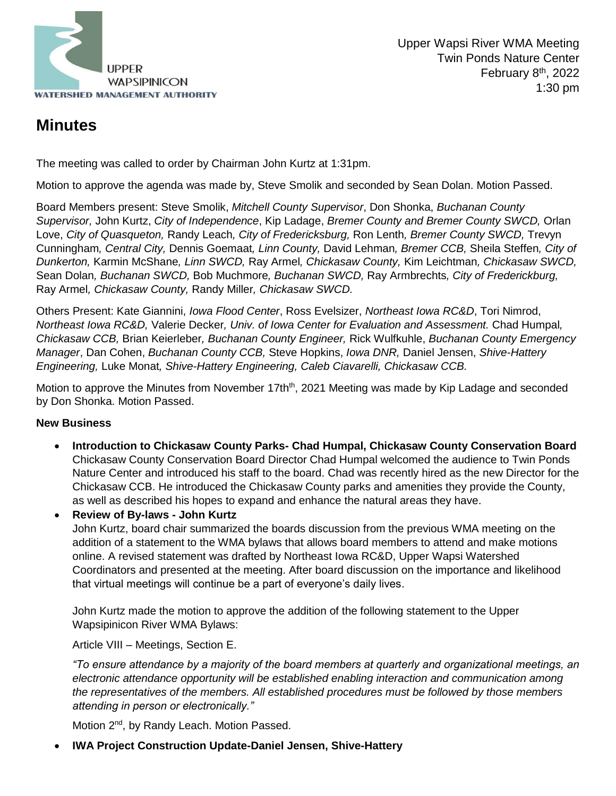

# **Minutes**

The meeting was called to order by Chairman John Kurtz at 1:31pm.

Motion to approve the agenda was made by, Steve Smolik and seconded by Sean Dolan. Motion Passed.

Board Members present: Steve Smolik, *Mitchell County Supervisor*, Don Shonka, *Buchanan County Supervisor,* John Kurtz, *City of Independence*, Kip Ladage, *Bremer County and Bremer County SWCD,* Orlan Love, *City of Quasqueton,* Randy Leach*, City of Fredericksburg,* Ron Lenth*, Bremer County SWCD,* Trevyn Cunningham*, Central City,* Dennis Goemaat*, Linn County,* David Lehman*, Bremer CCB,* Sheila Steffen*, City of Dunkerton,* Karmin McShane*, Linn SWCD,* Ray Armel*, Chickasaw County,* Kim Leichtman*, Chickasaw SWCD,*  Sean Dolan*, Buchanan SWCD,* Bob Muchmore*, Buchanan SWCD,* Ray Armbrechts*, City of Frederickburg,*  Ray Armel*, Chickasaw County,* Randy Miller*, Chickasaw SWCD.* 

Others Present: Kate Giannini, *Iowa Flood Center*, Ross Evelsizer, *Northeast Iowa RC&D*, Tori Nimrod, *Northeast Iowa RC&D,* Valerie Decker*, Univ. of Iowa Center for Evaluation and Assessment.* Chad Humpal*, Chickasaw CCB,* Brian Keierleber*, Buchanan County Engineer,* Rick Wulfkuhle, *Buchanan County Emergency Manager*, Dan Cohen, *Buchanan County CCB,* Steve Hopkins, *Iowa DNR,* Daniel Jensen, *Shive-Hattery Engineering,* Luke Monat*, Shive-Hattery Engineering, Caleb Ciavarelli, Chickasaw CCB.*

Motion to approve the Minutes from November 17th<sup>th</sup>, 2021 Meeting was made by Kip Ladage and seconded by Don Shonka. Motion Passed.

#### **New Business**

 **Introduction to Chickasaw County Parks- Chad Humpal, Chickasaw County Conservation Board** Chickasaw County Conservation Board Director Chad Humpal welcomed the audience to Twin Ponds Nature Center and introduced his staff to the board. Chad was recently hired as the new Director for the Chickasaw CCB. He introduced the Chickasaw County parks and amenities they provide the County, as well as described his hopes to expand and enhance the natural areas they have.

**Review of By-laws - John Kurtz**

John Kurtz, board chair summarized the boards discussion from the previous WMA meeting on the addition of a statement to the WMA bylaws that allows board members to attend and make motions online. A revised statement was drafted by Northeast Iowa RC&D, Upper Wapsi Watershed Coordinators and presented at the meeting. After board discussion on the importance and likelihood that virtual meetings will continue be a part of everyone's daily lives.

John Kurtz made the motion to approve the addition of the following statement to the Upper Wapsipinicon River WMA Bylaws:

Article VIII – Meetings, Section E.

*"To ensure attendance by a majority of the board members at quarterly and organizational meetings, an electronic attendance opportunity will be established enabling interaction and communication among the representatives of the members. All established procedures must be followed by those members attending in person or electronically."*

Motion 2<sup>nd</sup>, by Randy Leach. Motion Passed.

**IWA Project Construction Update-Daniel Jensen, Shive-Hattery**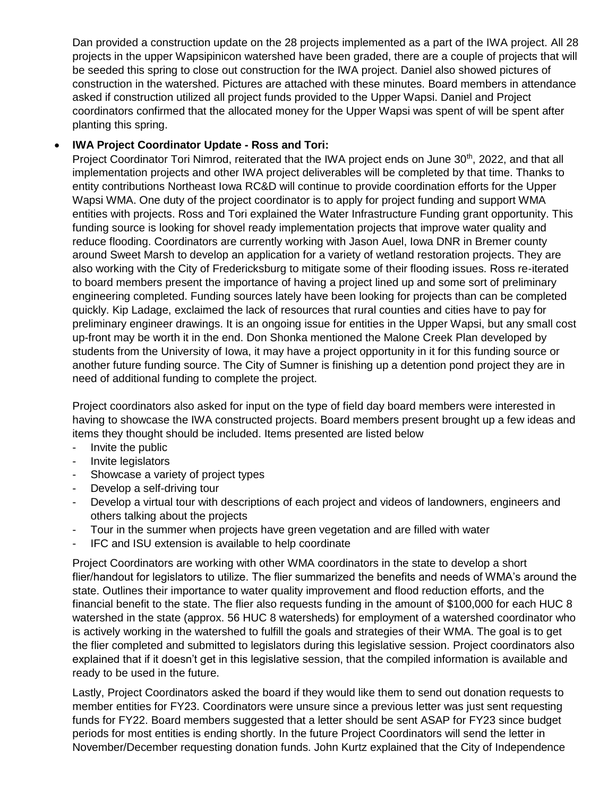Dan provided a construction update on the 28 projects implemented as a part of the IWA project. All 28 projects in the upper Wapsipinicon watershed have been graded, there are a couple of projects that will be seeded this spring to close out construction for the IWA project. Daniel also showed pictures of construction in the watershed. Pictures are attached with these minutes. Board members in attendance asked if construction utilized all project funds provided to the Upper Wapsi. Daniel and Project coordinators confirmed that the allocated money for the Upper Wapsi was spent of will be spent after planting this spring.

#### **IWA Project Coordinator Update - Ross and Tori:**

Project Coordinator Tori Nimrod, reiterated that the IWA project ends on June 30<sup>th</sup>, 2022, and that all implementation projects and other IWA project deliverables will be completed by that time. Thanks to entity contributions Northeast Iowa RC&D will continue to provide coordination efforts for the Upper Wapsi WMA. One duty of the project coordinator is to apply for project funding and support WMA entities with projects. Ross and Tori explained the Water Infrastructure Funding grant opportunity. This funding source is looking for shovel ready implementation projects that improve water quality and reduce flooding. Coordinators are currently working with Jason Auel, Iowa DNR in Bremer county around Sweet Marsh to develop an application for a variety of wetland restoration projects. They are also working with the City of Fredericksburg to mitigate some of their flooding issues. Ross re-iterated to board members present the importance of having a project lined up and some sort of preliminary engineering completed. Funding sources lately have been looking for projects than can be completed quickly. Kip Ladage, exclaimed the lack of resources that rural counties and cities have to pay for preliminary engineer drawings. It is an ongoing issue for entities in the Upper Wapsi, but any small cost up-front may be worth it in the end. Don Shonka mentioned the Malone Creek Plan developed by students from the University of Iowa, it may have a project opportunity in it for this funding source or another future funding source. The City of Sumner is finishing up a detention pond project they are in need of additional funding to complete the project.

Project coordinators also asked for input on the type of field day board members were interested in having to showcase the IWA constructed projects. Board members present brought up a few ideas and items they thought should be included. Items presented are listed below

- Invite the public
- Invite legislators
- Showcase a variety of project types
- Develop a self-driving tour
- Develop a virtual tour with descriptions of each project and videos of landowners, engineers and others talking about the projects
- Tour in the summer when projects have green vegetation and are filled with water
- IFC and ISU extension is available to help coordinate

Project Coordinators are working with other WMA coordinators in the state to develop a short flier/handout for legislators to utilize. The flier summarized the benefits and needs of WMA's around the state. Outlines their importance to water quality improvement and flood reduction efforts, and the financial benefit to the state. The flier also requests funding in the amount of \$100,000 for each HUC 8 watershed in the state (approx. 56 HUC 8 watersheds) for employment of a watershed coordinator who is actively working in the watershed to fulfill the goals and strategies of their WMA. The goal is to get the flier completed and submitted to legislators during this legislative session. Project coordinators also explained that if it doesn't get in this legislative session, that the compiled information is available and ready to be used in the future.

Lastly, Project Coordinators asked the board if they would like them to send out donation requests to member entities for FY23. Coordinators were unsure since a previous letter was just sent requesting funds for FY22. Board members suggested that a letter should be sent ASAP for FY23 since budget periods for most entities is ending shortly. In the future Project Coordinators will send the letter in November/December requesting donation funds. John Kurtz explained that the City of Independence